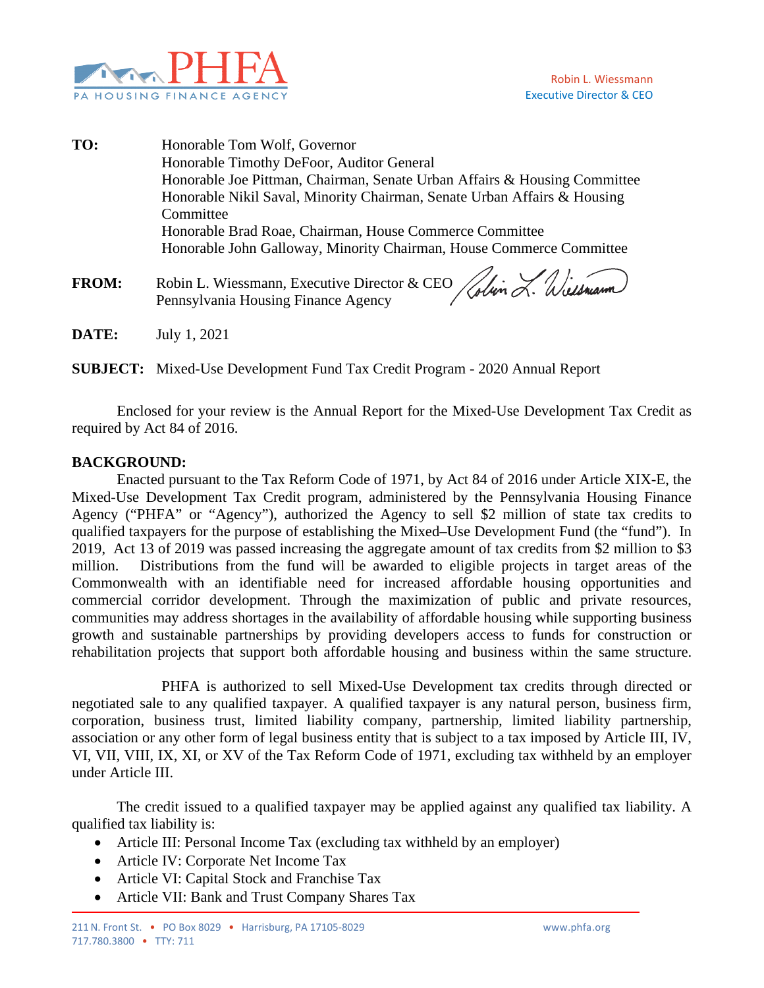

**TO:** Honorable Tom Wolf, Governor Honorable Timothy DeFoor, Auditor General Honorable Joe Pittman, Chairman, Senate Urban Affairs & Housing Committee Honorable Nikil Saval, Minority Chairman, Senate Urban Affairs & Housing Committee Honorable Brad Roae, Chairman, House Commerce Committee Honorable John Galloway, Minority Chairman, House Commerce Committee FROM: Robin L. Wiessmann, Executive Director & CEO Whin L. Wilson Pennsylvania Housing Finance Agency

**DATE:** July 1, 2021

**SUBJECT:** Mixed-Use Development Fund Tax Credit Program - 2020 Annual Report

Enclosed for your review is the Annual Report for the Mixed-Use Development Tax Credit as required by Act 84 of 2016.

## **BACKGROUND:**

Enacted pursuant to the Tax Reform Code of 1971, by Act 84 of 2016 under Article XIX-E, the Mixed-Use Development Tax Credit program, administered by the Pennsylvania Housing Finance Agency ("PHFA" or "Agency"), authorized the Agency to sell \$2 million of state tax credits to qualified taxpayers for the purpose of establishing the Mixed–Use Development Fund (the "fund"). In 2019, Act 13 of 2019 was passed increasing the aggregate amount of tax credits from \$2 million to \$3 million. Distributions from the fund will be awarded to eligible projects in target areas of the Commonwealth with an identifiable need for increased affordable housing opportunities and commercial corridor development. Through the maximization of public and private resources, communities may address shortages in the availability of affordable housing while supporting business growth and sustainable partnerships by providing developers access to funds for construction or rehabilitation projects that support both affordable housing and business within the same structure.

PHFA is authorized to sell Mixed-Use Development tax credits through directed or negotiated sale to any qualified taxpayer. A qualified taxpayer is any natural person, business firm, corporation, business trust, limited liability company, partnership, limited liability partnership, association or any other form of legal business entity that is subject to a tax imposed by Article III, IV, VI, VII, VIII, IX, XI, or XV of the Tax Reform Code of 1971, excluding tax withheld by an employer under Article III.

The credit issued to a qualified taxpayer may be applied against any qualified tax liability. A qualified tax liability is:

- Article III: Personal Income Tax (excluding tax withheld by an employer)
- Article IV: Corporate Net Income Tax
- Article VI: Capital Stock and Franchise Tax
- Article VII: Bank and Trust Company Shares Tax